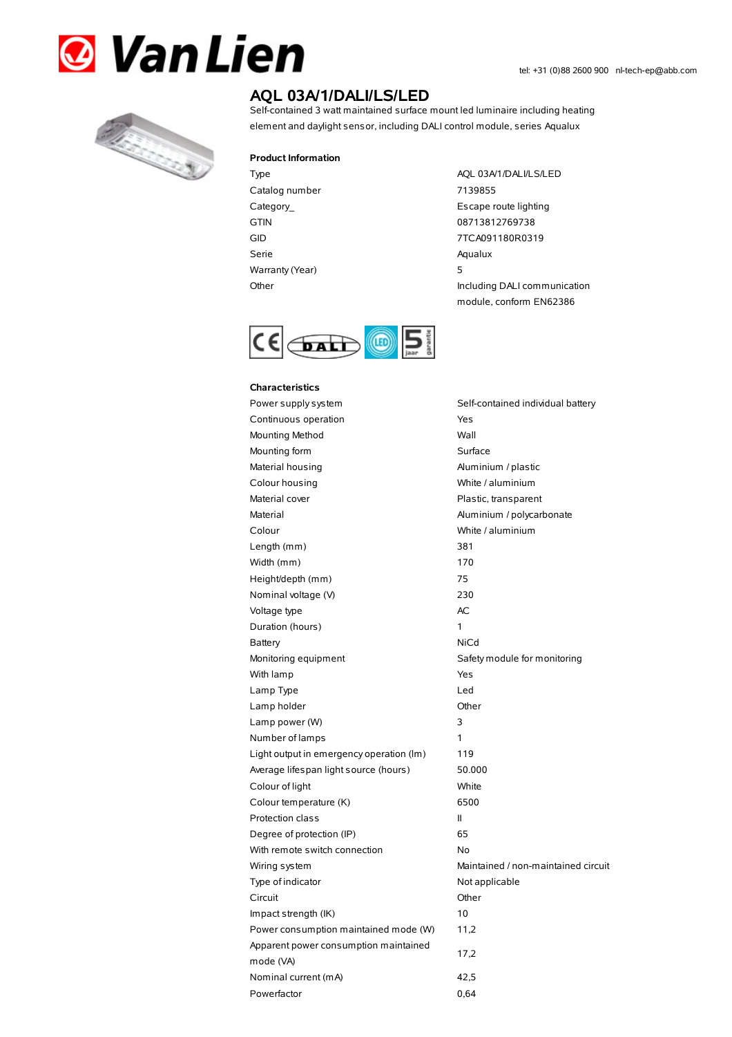



# **AQL 03A/1/DALI/LS/LED**

Self-contained 3 watt maintained surface mount led luminaire including heating element and daylight sensor, including DALI control module, series Aqualux

#### **Product Information**

Catalog number 7139855 Serie Aqualux Warranty(Year) 5

Type AQL 03A/1/DALI/LS/LED Category\_ **Escape route lighting** GTIN 08713812769738 GID 7TCA091180R0319 Other Including DALI communication module, conform EN62386



### **Characteristics**

Power supply system Self-contained individual battery Continuous operation The Continuous operation Mounting Method Wall Mounting form Surface Material housing Material housing and Aluminium / plastic Colour housing White / aluminium Material cover **Plastic**, transparent Material Material Aluminium / polycarbonate Colour White / aluminium Length (mm) 381 Width (mm) 170 Height/depth (mm) 75 Nominal voltage (V) 230 Voltage type and a set of the AC Duration (hours) 1 Battery **NiCd** Monitoring equipment Safety module for monitoring With lamp Yes Lamp Type Led Lamp holder and the Communication of Communication of the Communication of the Communication of the Communication of the Communication of the Communication of the Communication of the Communication of the Communication of Lamp power (W) 3 Number of lamps 1 Light output in emergency operation (lm) 119 Average lifespan light source (hours) 50.000 Colour of light White Colour temperature (K) 6500 Protection class II Degree of protection (IP) 65 With remote switch connection No Wiring system **Maintained / non-maintained circuit** Type of indicator Not applicable Circuit Other Impact strength (IK) 10 Power consumption maintained mode (W) 11,2 Apparent power consumption maintained mode (VA) Nominal current (mA) 42,5 Powerfactor 0.64

17,2